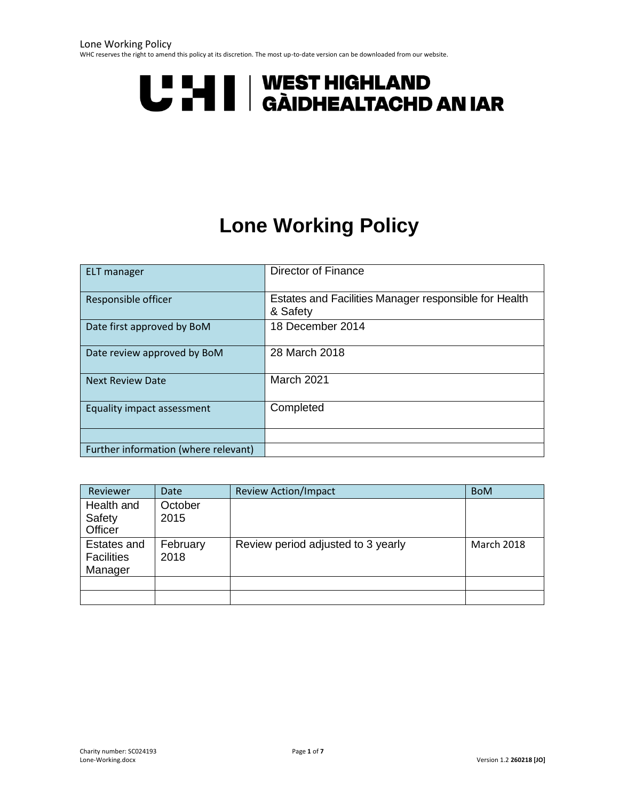WHC reserves the right to amend this policy at its discretion. The most up-to-date version can be downloaded from our website.

# **U "HI | WEST HIGHLAND<br>U THI | GÀIDHEALTACHD AN IAR**

# **Lone Working Policy**

<span id="page-0-0"></span>

| <b>ELT</b> manager                   | Director of Finance                                               |
|--------------------------------------|-------------------------------------------------------------------|
| Responsible officer                  | Estates and Facilities Manager responsible for Health<br>& Safety |
| Date first approved by BoM           | 18 December 2014                                                  |
| Date review approved by BoM          | 28 March 2018                                                     |
| <b>Next Review Date</b>              | March 2021                                                        |
| Equality impact assessment           | Completed                                                         |
|                                      |                                                                   |
| Further information (where relevant) |                                                                   |

| Reviewer                                    | <b>Date</b>      | <b>Review Action/Impact</b>        | <b>BoM</b> |
|---------------------------------------------|------------------|------------------------------------|------------|
| Health and<br>Safety<br>Officer             | October<br>2015  |                                    |            |
| Estates and<br><b>Facilities</b><br>Manager | February<br>2018 | Review period adjusted to 3 yearly | March 2018 |
|                                             |                  |                                    |            |
|                                             |                  |                                    |            |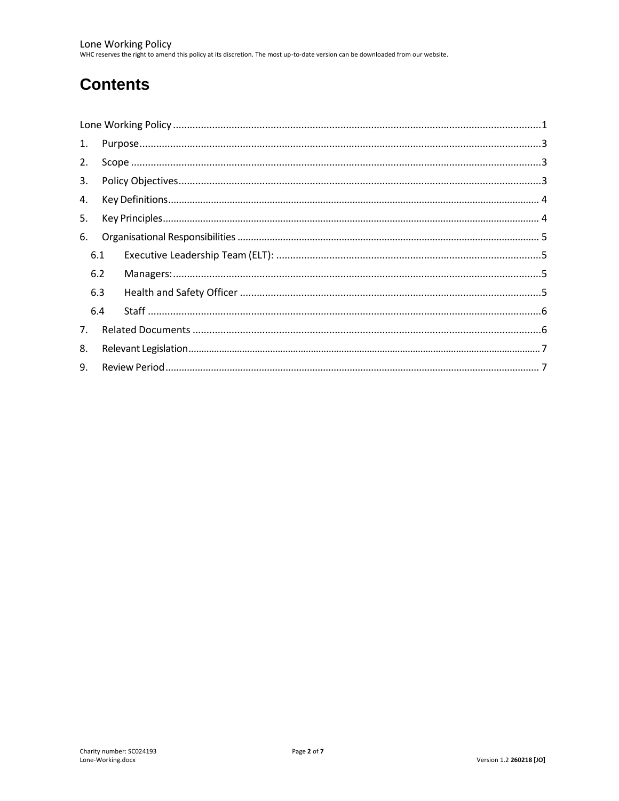# **Contents**

| 1. |     |  |
|----|-----|--|
| 2. |     |  |
| 3. |     |  |
| 4. |     |  |
| 5. |     |  |
| 6. |     |  |
|    | 6.1 |  |
|    | 6.2 |  |
|    | 6.3 |  |
|    | 6.4 |  |
| 7. |     |  |
| 8. |     |  |
| 9. |     |  |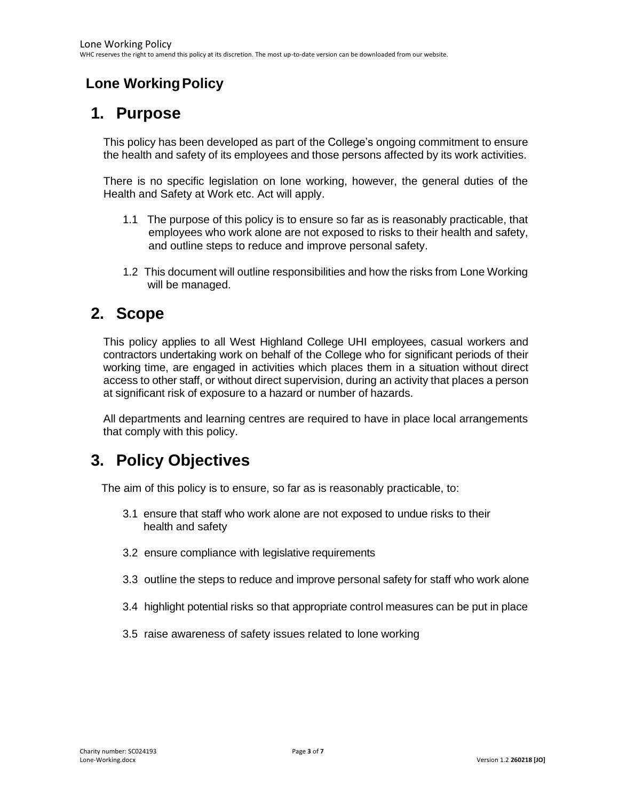### <span id="page-2-0"></span>**Lone Working Policy**

### **1. Purpose**

This policy has been developed as part of the College's ongoing commitment to ensure the health and safety of its employees and those persons affected by its work activities.

There is no specific legislation on lone working, however, the general duties of the Health and Safety at Work etc. Act will apply.

- 1.1 The purpose of this policy is to ensure so far as is reasonably practicable, that employees who work alone are not exposed to risks to their health and safety, and outline steps to reduce and improve personal safety.
- 1.2 This document will outline responsibilities and how the risks from Lone Working will be managed.

### <span id="page-2-1"></span>**2. Scope**

This policy applies to all West Highland College UHI employees, casual workers and contractors undertaking work on behalf of the College who for significant periods of their working time, are engaged in activities which places them in a situation without direct access to other staff, or without direct supervision, during an activity that places a person at significant risk of exposure to a hazard or number of hazards.

All departments and learning centres are required to have in place local arrangements that comply with this policy.

### <span id="page-2-2"></span>**3. Policy Objectives**

The aim of this policy is to ensure, so far as is reasonably practicable, to:

- 3.1 ensure that staff who work alone are not exposed to undue risks to their health and safety
- 3.2 ensure compliance with legislative requirements
- 3.3 outline the steps to reduce and improve personal safety for staff who work alone
- 3.4 highlight potential risks so that appropriate control measures can be put in place
- 3.5 raise awareness of safety issues related to lone working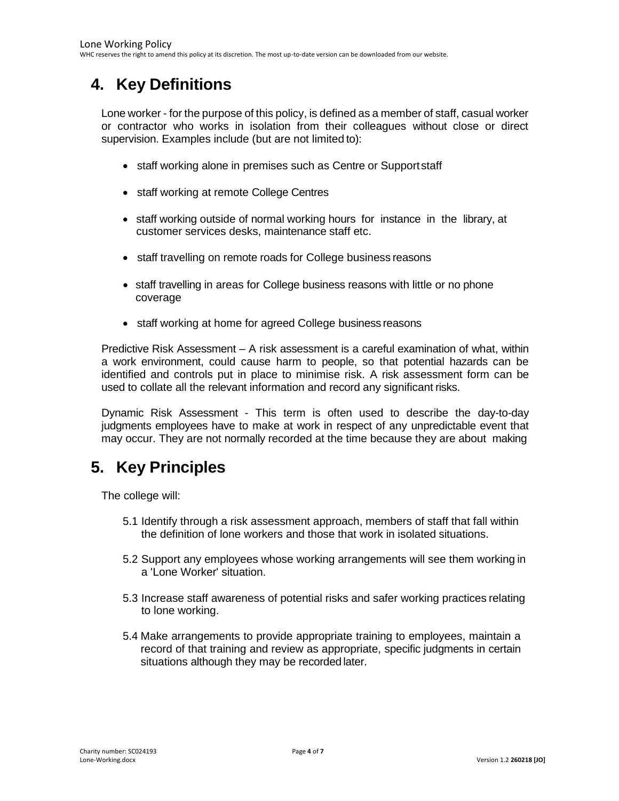# <span id="page-3-0"></span>**4. Key Definitions**

Lone worker - for the purpose of this policy, is defined as a member of staff, casual worker or contractor who works in isolation from their colleagues without close or direct supervision. Examples include (but are not limited to):

- staff working alone in premises such as Centre or Support staff
- staff working at remote College Centres
- staff working outside of normal working hours for instance in the library, at customer services desks, maintenance staff etc.
- staff travelling on remote roads for College business reasons
- staff travelling in areas for College business reasons with little or no phone coverage
- staff working at home for agreed College business reasons

Predictive Risk Assessment – A risk assessment is a careful examination of what, within a work environment, could cause harm to people, so that potential hazards can be identified and controls put in place to minimise risk. A risk assessment form can be used to collate all the relevant information and record any significant risks.

Dynamic Risk Assessment - This term is often used to describe the day-to-day judgments employees have to make at work in respect of any unpredictable event that may occur. They are not normally recorded at the time because they are about making

## <span id="page-3-1"></span>**5. Key Principles**

The college will:

- 5.1 Identify through a risk assessment approach, members of staff that fall within the definition of lone workers and those that work in isolated situations.
- 5.2 Support any employees whose working arrangements will see them working in a 'Lone Worker' situation.
- 5.3 Increase staff awareness of potential risks and safer working practices relating to lone working.
- 5.4 Make arrangements to provide appropriate training to employees, maintain a record of that training and review as appropriate, specific judgments in certain situations although they may be recorded later.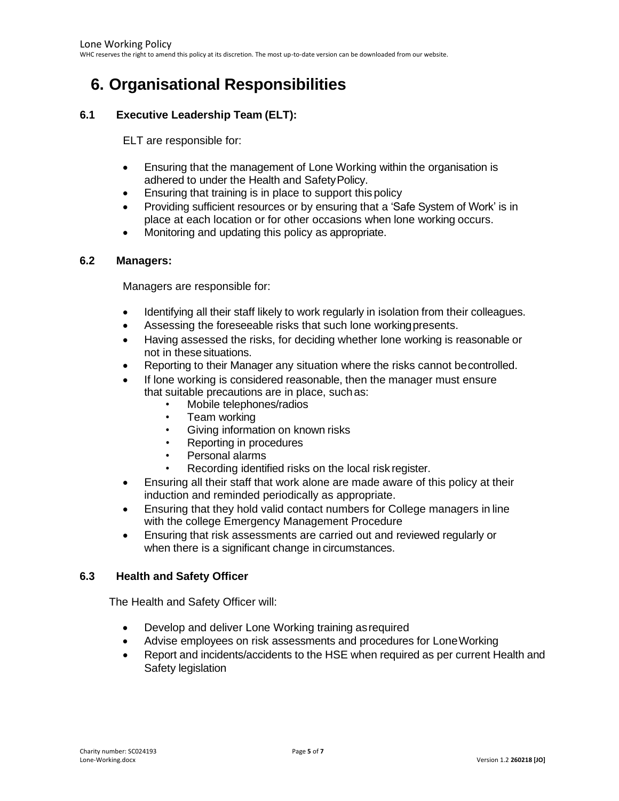# <span id="page-4-0"></span>**6. Organisational Responsibilities**

#### <span id="page-4-1"></span>**6.1 Executive Leadership Team (ELT):**

ELT are responsible for:

- Ensuring that the management of Lone Working within the organisation is adhered to under the Health and SafetyPolicy.
- Ensuring that training is in place to support this policy
- Providing sufficient resources or by ensuring that a 'Safe System of Work' is in place at each location or for other occasions when lone working occurs.
- Monitoring and updating this policy as appropriate.

#### <span id="page-4-2"></span>**6.2 Managers:**

Managers are responsible for:

- Identifying all their staff likely to work regularly in isolation from their colleagues.
- Assessing the foreseeable risks that such lone workingpresents.
- Having assessed the risks, for deciding whether lone working is reasonable or not in these situations.
- Reporting to their Manager any situation where the risks cannot becontrolled.
- If lone working is considered reasonable, then the manager must ensure that suitable precautions are in place, suchas:
	- Mobile telephones/radios
	- Team working
	- Giving information on known risks
	- Reporting in procedures
	- Personal alarms
	- Recording identified risks on the local risk register.
- Ensuring all their staff that work alone are made aware of this policy at their induction and reminded periodically as appropriate.
- Ensuring that they hold valid contact numbers for College managers in line with the college Emergency Management Procedure
- Ensuring that risk assessments are carried out and reviewed regularly or when there is a significant change in circumstances.

#### <span id="page-4-3"></span>**6.3 Health and Safety Officer**

The Health and Safety Officer will:

- Develop and deliver Lone Working training asrequired
- Advise employees on risk assessments and procedures for LoneWorking
- Report and incidents/accidents to the HSE when required as per current Health and Safety legislation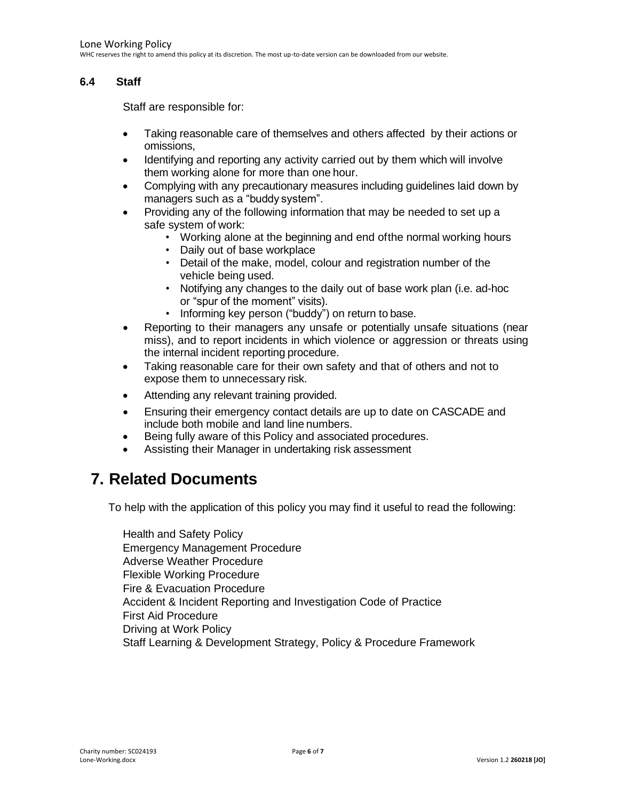#### <span id="page-5-0"></span>**6.4 Staff**

Staff are responsible for:

- Taking reasonable care of themselves and others affected by their actions or omissions,
- Identifying and reporting any activity carried out by them which will involve them working alone for more than one hour.
- Complying with any precautionary measures including guidelines laid down by managers such as a "buddy system".
- Providing any of the following information that may be needed to set up a safe system of work:
	- Working alone at the beginning and end ofthe normal working hours
	- Daily out of base workplace
	- Detail of the make, model, colour and registration number of the vehicle being used.
	- Notifying any changes to the daily out of base work plan (i.e. ad-hoc or "spur of the moment" visits).
	- Informing key person ("buddy") on return to base.
- Reporting to their managers any unsafe or potentially unsafe situations (near miss), and to report incidents in which violence or aggression or threats using the internal incident reporting procedure.
- Taking reasonable care for their own safety and that of others and not to expose them to unnecessary risk.
- Attending any relevant training provided.
- Ensuring their emergency contact details are up to date on CASCADE and include both mobile and land line numbers.
- Being fully aware of this Policy and associated procedures.
- Assisting their Manager in undertaking risk assessment

#### <span id="page-5-1"></span>**7. Related Documents**

To help with the application of this policy you may find it useful to read the following:

Health and Safety Policy Emergency Management Procedure Adverse Weather Procedure Flexible Working Procedure Fire & Evacuation Procedure Accident & Incident Reporting and Investigation Code of Practice First Aid Procedure Driving at Work Policy Staff Learning & Development Strategy, Policy & Procedure Framework